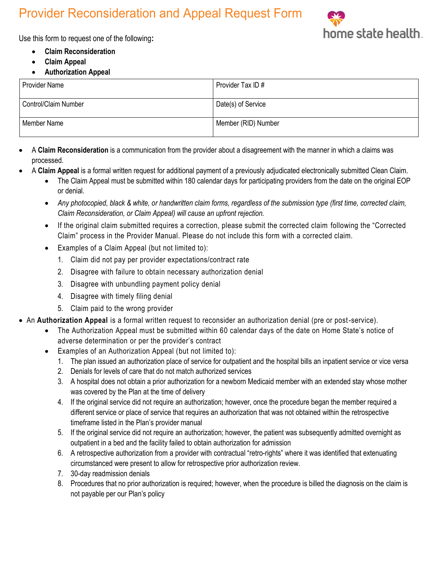## Provider Reconsideration and Appeal Request Form



Use this form to request one of the following**:**

- **Claim Reconsideration**
- **Claim Appeal**
- **Authorization Appeal**

| <b>Provider Name</b>        | Provider Tax ID #   |
|-----------------------------|---------------------|
| <b>Control/Claim Number</b> | Date(s) of Service  |
| Member Name                 | Member (RID) Number |

- A **Claim Reconsideration** is a communication from the provider about a disagreement with the manner in which a claims was processed.
- A **Claim Appeal** is a formal written request for additional payment of a previously adjudicated electronically submitted Clean Claim.
	- The Claim Appeal must be submitted within 180 calendar days for participating providers from the date on the original EOP or denial.
	- *Any photocopied, black & white, or handwritten claim forms, regardless of the submission type (first time, corrected claim, Claim Reconsideration, or Claim Appeal) will cause an upfront rejection.*
	- If the original claim submitted requires a correction, please submit the corrected claim following the "Corrected Claim" process in the Provider Manual. Please do not include this form with a corrected claim.
	- Examples of a Claim Appeal (but not limited to):
		- 1. Claim did not pay per provider expectations/contract rate
		- 2. Disagree with failure to obtain necessary authorization denial
		- 3. Disagree with unbundling payment policy denial
		- 4. Disagree with timely filing denial
		- 5. Claim paid to the wrong provider
- An **Authorization Appeal** is a formal written request to reconsider an authorization denial (pre or post-service).
	- The Authorization Appeal must be submitted within 60 calendar days of the date on Home State's notice of adverse determination or per the provider's contract
	- Examples of an Authorization Appeal (but not limited to):
		- 1. The plan issued an authorization place of service for outpatient and the hospital bills an inpatient service or vice versa
		- 2. Denials for levels of care that do not match authorized services
		- 3. A hospital does not obtain a prior authorization for a newborn Medicaid member with an extended stay whose mother was covered by the Plan at the time of delivery
		- 4. If the original service did not require an authorization; however, once the procedure began the member required a different service or place of service that requires an authorization that was not obtained within the retrospective timeframe listed in the Plan's provider manual
		- 5. If the original service did not require an authorization; however, the patient was subsequently admitted overnight as outpatient in a bed and the facility failed to obtain authorization for admission
		- 6. A retrospective authorization from a provider with contractual "retro-rights" where it was identified that extenuating circumstanced were present to allow for retrospective prior authorization review.
		- 7. 30-day readmission denials
		- 8. Procedures that no prior authorization is required; however, when the procedure is billed the diagnosis on the claim is not payable per our Plan's policy